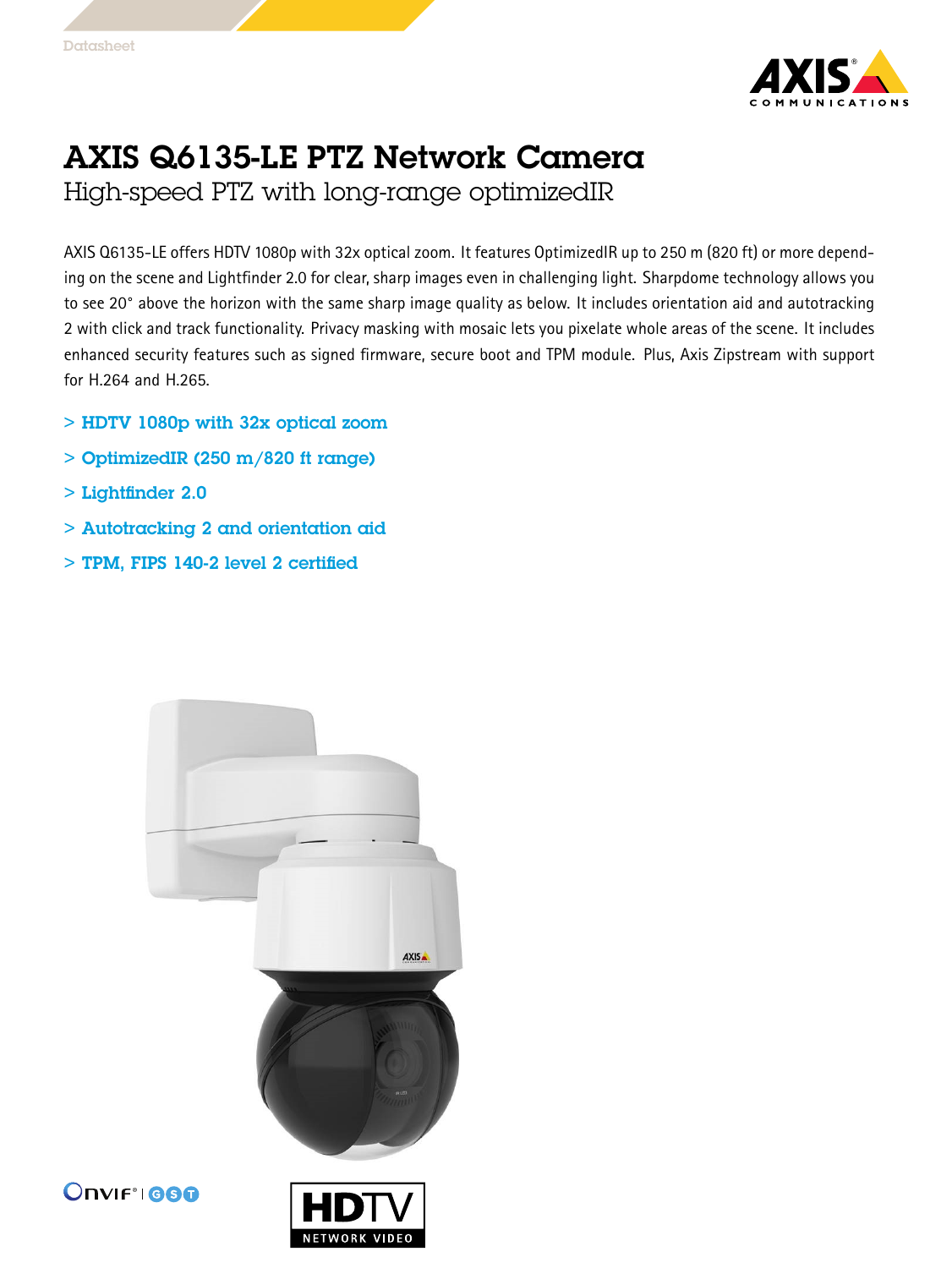

## AXIS Q6135-LE PTZ Network Camera

High-speed PTZ with long-range optimizedIR

AXIS Q6135-LE offers HDTV 1080p with 32x optical zoom. It features OptimizedIR up to <sup>250</sup> <sup>m</sup> (820 ft) or more depending on the scene and Lightfinder 2.0 for clear, sharp images even in challenging light. Sharpdome technology allows you to see 20° above the horizon with the same sharp image quality as below. It includes orientation aid and autotracking 2 with click and track functionality. Privacy masking with mosaic lets you pixelate whole areas of the scene. It includes enhanced security features such as signed firmware, secure boot and TPM module. Plus, Axis Zipstream with support for H.264 and H.265.

- > HDTV 1080p with 32x optical zoom
- $>$  OptimizedIR (250 m/820 ft range)
- > Lightfinder 2.0
- > Autotracking 2 and orientation aid
- > TPM, FIPS 140-2 level 2 certified





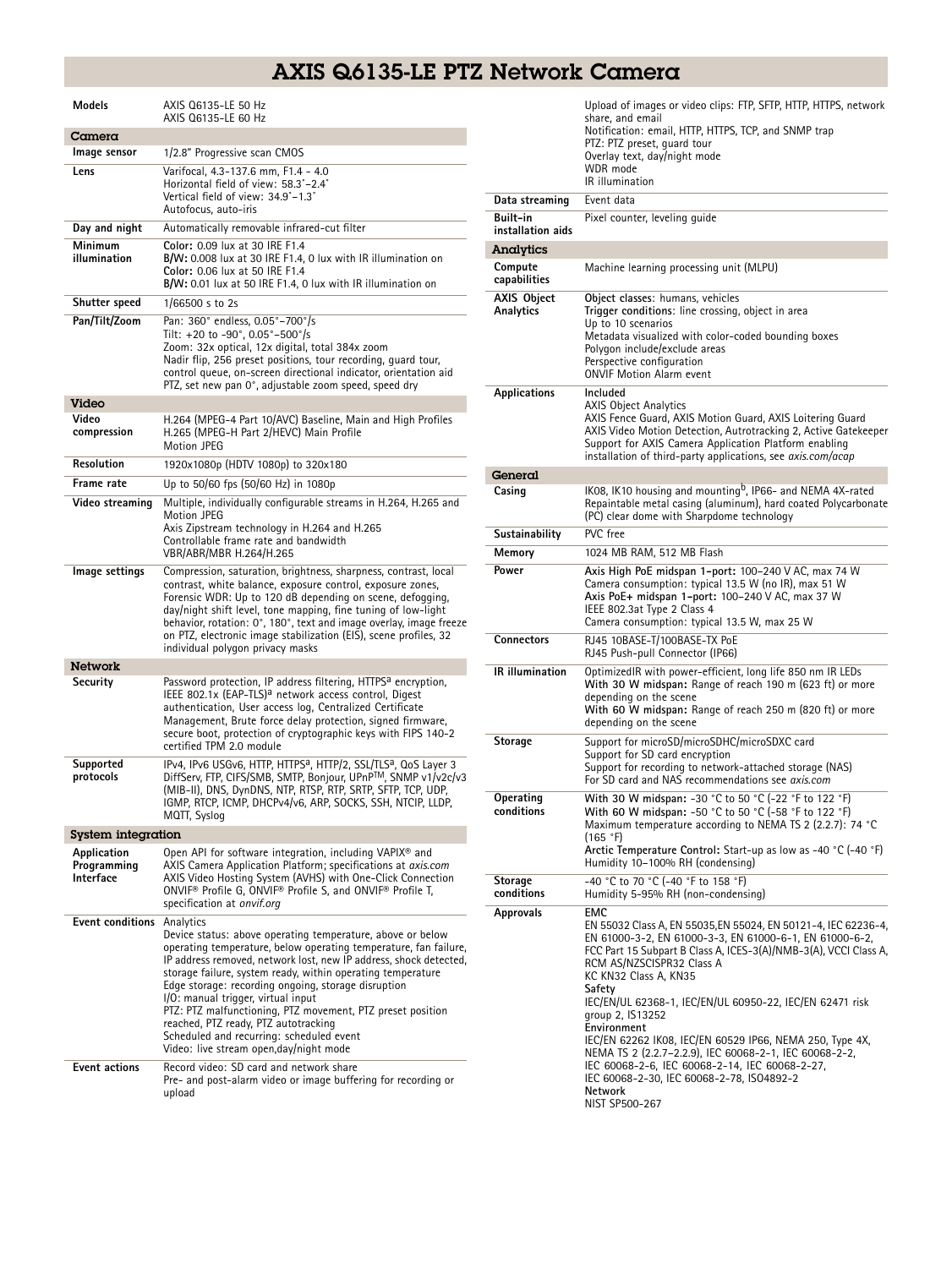## AXIS Q6135-LE PTZ Network Camera

| Models                                   | AXIS Q6135-LE 50 Hz<br>AXIS 06135-LE 60 Hz                                                                                                                                                                                                                                                                                                                                                                                                                                                                                                                                                                          |
|------------------------------------------|---------------------------------------------------------------------------------------------------------------------------------------------------------------------------------------------------------------------------------------------------------------------------------------------------------------------------------------------------------------------------------------------------------------------------------------------------------------------------------------------------------------------------------------------------------------------------------------------------------------------|
| Camera                                   |                                                                                                                                                                                                                                                                                                                                                                                                                                                                                                                                                                                                                     |
| Image sensor                             | 1/2.8" Progressive scan CMOS                                                                                                                                                                                                                                                                                                                                                                                                                                                                                                                                                                                        |
| Lens                                     | Varifocal, 4.3-137.6 mm, F1.4 - 4.0<br>Horizontal field of view: 58.3°-2.4°<br>Vertical field of view: 34.9°-1.3°<br>Autofocus, auto-iris                                                                                                                                                                                                                                                                                                                                                                                                                                                                           |
| Day and night                            | Automatically removable infrared-cut filter                                                                                                                                                                                                                                                                                                                                                                                                                                                                                                                                                                         |
| Minimum<br>illumination                  | Color: 0.09 lux at 30 IRE F1.4<br>B/W: 0.008 lux at 30 IRE F1.4, 0 lux with IR illumination on<br>Color: 0.06 lux at 50 IRE F1.4<br>B/W: 0.01 lux at 50 IRE F1.4, 0 lux with IR illumination on                                                                                                                                                                                                                                                                                                                                                                                                                     |
| Shutter speed                            | 1/66500 s to 2s                                                                                                                                                                                                                                                                                                                                                                                                                                                                                                                                                                                                     |
| Pan/Tilt/Zoom                            | Pan: 360° endless, 0.05°-700°/s<br>Tilt: +20 to -90°, $0.05^{\circ}$ -500°/s<br>Zoom: 32x optical, 12x digital, total 384x zoom<br>Nadir flip, 256 preset positions, tour recording, quard tour,<br>control queue, on-screen directional indicator, orientation aid<br>PTZ, set new pan 0°, adjustable zoom speed, speed dry                                                                                                                                                                                                                                                                                        |
| Video                                    |                                                                                                                                                                                                                                                                                                                                                                                                                                                                                                                                                                                                                     |
| Video<br>compression                     | H.264 (MPEG-4 Part 10/AVC) Baseline, Main and High Profiles<br>H.265 (MPEG-H Part 2/HEVC) Main Profile<br><b>Motion JPEG</b>                                                                                                                                                                                                                                                                                                                                                                                                                                                                                        |
| <b>Resolution</b>                        | 1920x1080p (HDTV 1080p) to 320x180                                                                                                                                                                                                                                                                                                                                                                                                                                                                                                                                                                                  |
| Frame rate                               | Up to 50/60 fps (50/60 Hz) in 1080p                                                                                                                                                                                                                                                                                                                                                                                                                                                                                                                                                                                 |
| Video streaming                          | Multiple, individually configurable streams in H.264, H.265 and<br>Motion JPEG<br>Axis Zipstream technology in H.264 and H.265<br>Controllable frame rate and bandwidth<br>VBR/ABR/MBR H.264/H.265                                                                                                                                                                                                                                                                                                                                                                                                                  |
| lmage settings                           | Compression, saturation, brightness, sharpness, contrast, local<br>contrast, white balance, exposure control, exposure zones,<br>Forensic WDR: Up to 120 dB depending on scene, defogging,<br>day/night shift level, tone mapping, fine tuning of low-light<br>behavior, rotation: 0°, 180°, text and image overlay, image freeze<br>on PTZ, electronic image stabilization (EIS), scene profiles, 32<br>individual polygon privacy masks                                                                                                                                                                           |
| <b>Network</b>                           |                                                                                                                                                                                                                                                                                                                                                                                                                                                                                                                                                                                                                     |
| Security                                 | Password protection, IP address filtering, HTTPS <sup>a</sup> encryption,<br>IEEE 802.1x (EAP-TLS) <sup>a</sup> network access control, Digest<br>authentication, User access log, Centralized Certificate<br>Management, Brute force delay protection, signed firmware,<br>secure boot, protection of cryptographic keys with FIPS 140-2<br>certified TPM 2.0 module                                                                                                                                                                                                                                               |
| Supported<br>protocols                   | IPv4, IPv6 USGv6, HTTP, HTTPS <sup>a</sup> , HTTP/2, SSL/TLS <sup>a</sup> , QoS Layer 3<br>DiffServ, FTP, CIFS/SMB, SMTP, Bonjour, UPnPTM, SNMP v1/v2c/v3<br>(MIB-II), DNS, DynDNS, NTP, RTSP, RTP, SRTP, SFTP, TCP, UDP,<br>IGMP, RTCP, ICMP, DHCPv4/v6, ARP, SOCKS, SSH, NTCIP, LLDP,<br>MQTT, Syslog                                                                                                                                                                                                                                                                                                             |
| <b>System integration</b>                |                                                                                                                                                                                                                                                                                                                                                                                                                                                                                                                                                                                                                     |
| Application<br>Programming<br>Interface  | Open API for software integration, including VAPIX <sup>®</sup> and<br>AXIS Camera Application Platform; specifications at axis.com<br>AXIS Video Hosting System (AVHS) with One-Click Connection<br>ONVIF <sup>®</sup> Profile G, ONVIF® Profile S, and ONVIF® Profile T,<br>specification at onvif.org                                                                                                                                                                                                                                                                                                            |
| Event conditions<br><b>Event actions</b> | Analytics<br>Device status: above operating temperature, above or below<br>operating temperature, below operating temperature, fan failure,<br>IP address removed, network lost, new IP address, shock detected,<br>storage failure, system ready, within operating temperature<br>Edge storage: recording ongoing, storage disruption<br>I/O: manual trigger, virtual input<br>PTZ: PTZ malfunctioning, PTZ movement, PTZ preset position<br>reached, PTZ ready, PTZ autotracking<br>Scheduled and recurring: scheduled event<br>Video: live stream open,day/night mode<br>Record video: SD card and network share |
|                                          | Pre- and post-alarm video or image buffering for recording or<br>upload                                                                                                                                                                                                                                                                                                                                                                                                                                                                                                                                             |

|                               | Upload of images or video clips: FTP, SFTP, HTTP, HTTPS, network<br>share, and email<br>Notification: email, HTTP, HTTPS, TCP, and SNMP trap<br>PTZ: PTZ preset, guard tour<br>Overlay text, day/night mode<br>WDR mode<br>IR illumination                                                                                                    |
|-------------------------------|-----------------------------------------------------------------------------------------------------------------------------------------------------------------------------------------------------------------------------------------------------------------------------------------------------------------------------------------------|
| Data streaming                | Event data                                                                                                                                                                                                                                                                                                                                    |
| Built-in<br>installation aids | Pixel counter, leveling quide                                                                                                                                                                                                                                                                                                                 |
| Analytics                     |                                                                                                                                                                                                                                                                                                                                               |
| Compute<br>capabilities       | Machine learning processing unit (MLPU)                                                                                                                                                                                                                                                                                                       |
| AXIS Object<br>Analytics      | Object classes: humans, vehicles<br>Trigger conditions: line crossing, object in area<br>Up to 10 scenarios<br>Metadata visualized with color-coded bounding boxes<br>Polygon include/exclude areas<br>Perspective configuration<br><b>ONVIF Motion Alarm event</b>                                                                           |
| Applications                  | Included<br><b>AXIS Object Analytics</b><br>AXIS Fence Guard, AXIS Motion Guard, AXIS Loitering Guard<br>AXIS Video Motion Detection, Autrotracking 2, Active Gatekeeper<br>Support for AXIS Camera Application Platform enabling<br>installation of third-party applications, see <i>axis.com/acap</i>                                       |
| General                       |                                                                                                                                                                                                                                                                                                                                               |
| Casing                        | IK08, IK10 housing and mounting <sup>b</sup> , IP66- and NEMA 4X-rated<br>Repaintable metal casing (aluminum), hard coated Polycarbonate<br>(PC) clear dome with Sharpdome technology                                                                                                                                                         |
| Sustainability                | PVC free                                                                                                                                                                                                                                                                                                                                      |
| Memory                        | 1024 MB RAM, 512 MB Flash                                                                                                                                                                                                                                                                                                                     |
| Power                         | Axis High PoE midspan 1-port: 100-240 V AC, max 74 W<br>Camera consumption: typical 13.5 W (no IR), max 51 W<br>Axis PoE+ midspan 1-port: 100-240 V AC, max 37 W<br>IEEE 802.3at Type 2 Class 4<br>Camera consumption: typical 13.5 W, max 25 W                                                                                               |
| Connectors                    | RJ45 10BASE-T/100BASE-TX PoE<br>RJ45 Push-pull Connector (IP66)                                                                                                                                                                                                                                                                               |
| <b>IR</b> illumination        | OptimizedIR with power-efficient, long life 850 nm IR LEDs<br>With 30 W midspan: Range of reach 190 m (623 ft) or more<br>depending on the scene<br>With 60 W midspan: Range of reach 250 m (820 ft) or more<br>depending on the scene                                                                                                        |
| Storage                       | Support for microSD/microSDHC/microSDXC card<br>Support for SD card encryption<br>Support for recording to network-attached storage (NAS)<br>For SD card and NAS recommendations see axis.com                                                                                                                                                 |
| Operating<br>conditions       | With 30 W midspan: -30 °C to 50 °C (-22 °F to 122 °F)<br>With 60 W midspan: -50 °C to 50 °C (-58 °F to 122 °F)<br>Maximum temperature according to NEMA TS 2 (2.2.7): 74 °C<br>(165 °F)<br>Arctic Temperature Control: Start-up as low as -40 °C (-40 °F)<br>Humidity 10-100% RH (condensing)                                                 |
| <b>Storage</b><br>conditions  | -40 °C to 70 °C (-40 °F to 158 °F)<br>Humidity 5-95% RH (non-condensing)                                                                                                                                                                                                                                                                      |
| Approvals                     | <b>EMC</b><br>EN 55032 Class A, EN 55035, EN 55024, EN 50121-4, IEC 62236-4,<br>EN 61000-3-2, EN 61000-3-3, EN 61000-6-1, EN 61000-6-2,<br>FCC Part 15 Subpart B Class A, ICES-3(A)/NMB-3(A), VCCI Class A,<br>RCM AS/NZSCISPR32 Class A<br>KC KN32 Class A, KN35<br>Safety                                                                   |
|                               | IEC/EN/UL 62368-1, IEC/EN/UL 60950-22, IEC/EN 62471 risk<br>group 2, IS13252<br>Environment<br>IEC/EN 62262 IK08, IEC/EN 60529 IP66, NEMA 250, Type 4X,<br>NEMA TS 2 (2.2.7-2.2.9), IEC 60068-2-1, IEC 60068-2-2,<br>IEC 60068-2-6, IEC 60068-2-14, IEC 60068-2-27,<br>IEC 60068-2-30, IEC 60068-2-78, ISO4892-2<br>Network<br>NIST SP500-267 |